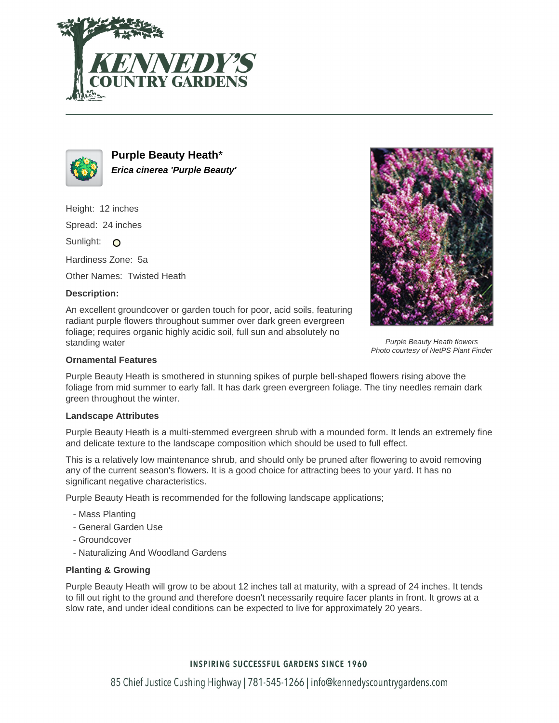



**Purple Beauty Heath**\* **Erica cinerea 'Purple Beauty'**

Height: 12 inches

Spread: 24 inches

Sunlight: O

Hardiness Zone: 5a

Other Names: Twisted Heath

## **Description:**

An excellent groundcover or garden touch for poor, acid soils, featuring radiant purple flowers throughout summer over dark green evergreen foliage; requires organic highly acidic soil, full sun and absolutely no standing water



Purple Beauty Heath flowers Photo courtesy of NetPS Plant Finder

### **Ornamental Features**

Purple Beauty Heath is smothered in stunning spikes of purple bell-shaped flowers rising above the foliage from mid summer to early fall. It has dark green evergreen foliage. The tiny needles remain dark green throughout the winter.

#### **Landscape Attributes**

Purple Beauty Heath is a multi-stemmed evergreen shrub with a mounded form. It lends an extremely fine and delicate texture to the landscape composition which should be used to full effect.

This is a relatively low maintenance shrub, and should only be pruned after flowering to avoid removing any of the current season's flowers. It is a good choice for attracting bees to your yard. It has no significant negative characteristics.

Purple Beauty Heath is recommended for the following landscape applications;

- Mass Planting
- General Garden Use
- Groundcover
- Naturalizing And Woodland Gardens

## **Planting & Growing**

Purple Beauty Heath will grow to be about 12 inches tall at maturity, with a spread of 24 inches. It tends to fill out right to the ground and therefore doesn't necessarily require facer plants in front. It grows at a slow rate, and under ideal conditions can be expected to live for approximately 20 years.

# **INSPIRING SUCCESSFUL GARDENS SINCE 1960**